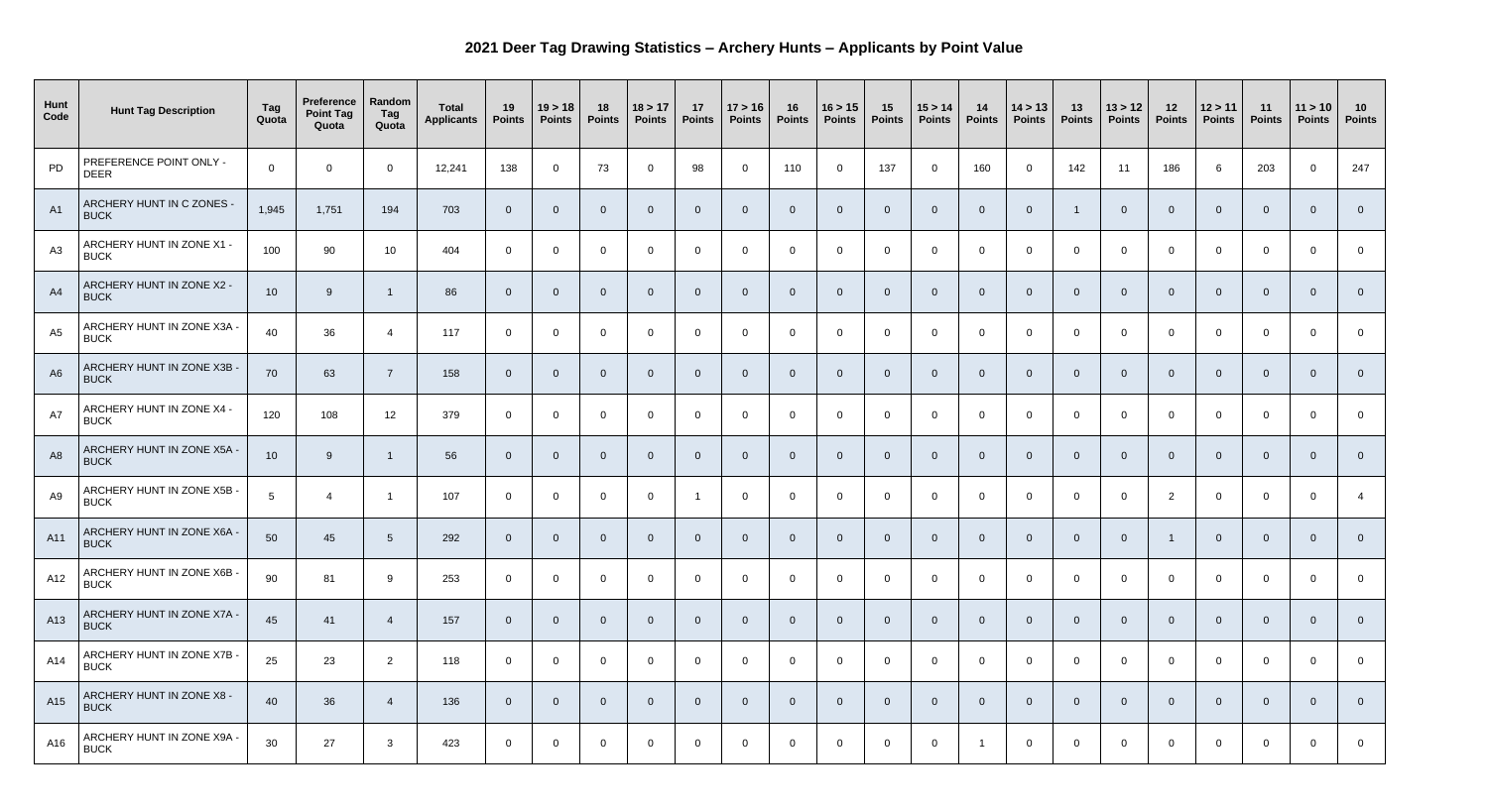## **2021 Deer Tag Drawing Statistics – Archery Hunts – Applicants by Point Value**

| Hunt<br>Code   | <b>Hunt Tag Description</b>               | Tag<br>Quota   | <b>Preference</b><br><b>Point Tag</b><br>Quota | Random<br>Tag<br>Quota | <b>Total</b><br><b>Applicants</b> | 19<br><b>Points</b> | 19 > 18<br><b>Points</b> | 18<br><b>Points</b> | 18 > 17<br><b>Points</b> | 17<br><b>Points</b> | 17 > 16<br><b>Points</b> | 16<br><b>Points</b> | 16 > 15<br><b>Points</b> | 15<br><b>Points</b> | 15 > 14<br><b>Points</b> | 14<br>Points   | 14 > 13<br><b>Points</b> | 13<br><b>Points</b> | 13 > 12<br><b>Points</b> | 12<br><b>Points</b> | 12 > 11<br><b>Points</b> | 11<br><b>Points</b> | 11 > 10<br><b>Points</b> | 10<br><b>Points</b> |
|----------------|-------------------------------------------|----------------|------------------------------------------------|------------------------|-----------------------------------|---------------------|--------------------------|---------------------|--------------------------|---------------------|--------------------------|---------------------|--------------------------|---------------------|--------------------------|----------------|--------------------------|---------------------|--------------------------|---------------------|--------------------------|---------------------|--------------------------|---------------------|
| PD             | PREFERENCE POINT ONLY -<br><b>DEER</b>    | $\mathbf 0$    | $\overline{0}$                                 | $\Omega$               | 12,241                            | 138                 | $\overline{0}$           | 73                  | $\overline{0}$           | 98                  | $\overline{0}$           | 110                 | $\overline{0}$           | 137                 | $\overline{0}$           | 160            | $\overline{0}$           | 142                 | 11                       | 186                 | -6                       | 203                 | $\Omega$                 | 247                 |
| A1             | ARCHERY HUNT IN C ZONES -<br><b>BUCK</b>  | 1,945          | 1,751                                          | 194                    | 703                               | $\overline{0}$      | $\overline{0}$           | $\overline{0}$      | $\overline{0}$           | $\overline{0}$      | $\overline{0}$           | $\overline{0}$      | $\overline{0}$           | $\overline{0}$      | $\Omega$                 | $\overline{0}$ | $\overline{0}$           |                     | $\Omega$                 |                     | $\Omega$                 | $\overline{0}$      |                          |                     |
| A3             | ARCHERY HUNT IN ZONE X1 -<br><b>BUCK</b>  | 100            | 90                                             | 10 <sup>°</sup>        | 404                               | $\overline{0}$      | $\overline{0}$           | $\overline{0}$      | $\overline{0}$           | $\overline{0}$      | $\overline{0}$           | $\overline{0}$      | $\overline{0}$           | $\overline{0}$      | $\overline{0}$           | $\overline{0}$ | $\overline{0}$           | $\overline{0}$      | $\overline{0}$           | $\Omega$            | $\Omega$                 | $\overline{0}$      | $\Omega$                 | $\overline{0}$      |
| A4             | ARCHERY HUNT IN ZONE X2 -<br><b>BUCK</b>  | 10             | 9                                              |                        | 86                                | $\overline{0}$      | $\overline{0}$           | $\overline{0}$      | $\overline{0}$           | $\overline{0}$      | $\overline{0}$           | $\overline{0}$      | $\overline{0}$           | $\overline{0}$      | $\overline{0}$           | $\overline{0}$ | $\overline{0}$           | - 0                 | $\overline{0}$           | $\mathbf 0$         | $\overline{0}$           | $\overline{0}$      | $\Omega$                 | $\overline{0}$      |
| A5             | ARCHERY HUNT IN ZONE X3A -<br><b>BUCK</b> | 40             | 36                                             | -4                     | 117                               | $\overline{0}$      | $\overline{0}$           | $\overline{0}$      | $\overline{0}$           | $\overline{0}$      | $\overline{0}$           | $\overline{0}$      | $\overline{0}$           | $\overline{0}$      | $\Omega$                 | $\overline{0}$ | $\overline{0}$           | - 0                 | $\overline{0}$           | $\Omega$            | $\Omega$                 | $\overline{0}$      | $\cap$                   | $\Omega$            |
| A <sub>6</sub> | ARCHERY HUNT IN ZONE X3B -<br><b>BUCK</b> | 70             | 63                                             | $\overline{7}$         | 158                               | $\overline{0}$      | $\overline{0}$           | $\overline{0}$      | $\overline{0}$           | $\overline{0}$      | $\overline{0}$           | $\overline{0}$      | $\overline{0}$           | $\overline{0}$      | $\overline{0}$           | $\overline{0}$ | $\overline{0}$           | - 0                 | $\overline{0}$           | $\Omega$            | $\overline{0}$           | $\overline{0}$      | $\Omega$                 | $\overline{0}$      |
| A7             | ARCHERY HUNT IN ZONE X4 -<br><b>BUCK</b>  | 120            | 108                                            | 12                     | 379                               | $\overline{0}$      | $\overline{0}$           | $\overline{0}$      | $\overline{0}$           | $\overline{0}$      | $\overline{0}$           | $\overline{0}$      | $\overline{0}$           | $\overline{0}$      | $\Omega$                 | $\overline{0}$ | $\overline{0}$           | $\Omega$            | $\overline{0}$           | $\Omega$            | $\Omega$                 | $\overline{0}$      | $\Omega$                 | $\overline{0}$      |
| A <sub>8</sub> | ARCHERY HUNT IN ZONE X5A -<br><b>BUCK</b> | 10             | 9                                              |                        | 56                                | $\overline{0}$      | $\Omega$                 | 0                   | $\overline{0}$           | $\overline{0}$      | $\overline{0}$           | 0                   | $\overline{0}$           | - 0                 | $\overline{0}$           | - 0            | $\Omega$                 | - 0                 | $\Omega$                 |                     | 0                        | $\overline{0}$      |                          | $\overline{0}$      |
| A9             | ARCHERY HUNT IN ZONE X5B -<br><b>BUCK</b> | 5 <sup>5</sup> | $\overline{4}$                                 |                        | 107                               | $\overline{0}$      | $\Omega$                 | $\Omega$            | $\Omega$                 |                     | $\overline{0}$           |                     | $\Omega$                 | $\Omega$            | $\Omega$                 | $\Omega$       | $\overline{0}$           | $\Omega$            | $\overline{0}$           | 2                   | $\Omega$                 | $\overline{0}$      | $\overline{0}$           |                     |
| A11            | ARCHERY HUNT IN ZONE X6A -<br><b>BUCK</b> | 50             | 45                                             | $5\overline{)}$        | 292                               | $\overline{0}$      | $\overline{0}$           | $\overline{0}$      | $\overline{0}$           | $\overline{0}$      | $\overline{0}$           | $\overline{0}$      | $\overline{0}$           | $\overline{0}$      | $\overline{0}$           | $\overline{0}$ | $\overline{0}$           | $\overline{0}$      | $\overline{0}$           |                     | $\overline{0}$           | $\overline{0}$      | $\overline{0}$           | $\overline{0}$      |
| A12            | ARCHERY HUNT IN ZONE X6B -<br><b>BUCK</b> | 90             | 81                                             | 9                      | 253                               | $\overline{0}$      | $\overline{0}$           | $\overline{0}$      | $\overline{0}$           | $\overline{0}$      | $\overline{0}$           | $\overline{0}$      | $\overline{0}$           | $\overline{0}$      | $\overline{0}$           | $\overline{0}$ | $\overline{0}$           | $\overline{0}$      | $\overline{0}$           | $\overline{0}$      | $\overline{0}$           | $\overline{0}$      | $\overline{0}$           | $\overline{0}$      |
| A13            | ARCHERY HUNT IN ZONE X7A -<br><b>BUCK</b> | 45             | 41                                             | -4                     | 157                               | $\overline{0}$      | $\overline{0}$           | $\overline{0}$      | $\overline{0}$           | $\overline{0}$      | $\overline{0}$           | $\overline{0}$      | $\overline{0}$           | $\overline{0}$      | $\overline{0}$           | $\overline{0}$ | $\overline{0}$           | $\overline{0}$      | $\overline{0}$           | $\Omega$            | $\overline{0}$           | $\overline{0}$      | $\Omega$                 | $\overline{0}$      |
| A14            | ARCHERY HUNT IN ZONE X7B -<br><b>BUCK</b> | 25             | 23                                             | $\overline{2}$         | 118                               | $\overline{0}$      | $\overline{0}$           | $\overline{0}$      | $\overline{0}$           | $\overline{0}$      | $\overline{0}$           | $\overline{0}$      | $\overline{0}$           | $\overline{0}$      | $\overline{0}$           | $\overline{0}$ | $\overline{0}$           | $\overline{0}$      | $\overline{0}$           | $\overline{0}$      | $\overline{0}$           | $\overline{0}$      | $\overline{0}$           | $\overline{0}$      |
| A15            | ARCHERY HUNT IN ZONE X8 -<br><b>BUCK</b>  | 40             | 36                                             | 4                      | 136                               | $\overline{0}$      | $\overline{0}$           | $\overline{0}$      | $\overline{0}$           | $\overline{0}$      | $\overline{0}$           | $\overline{0}$      | $\overline{0}$           | $\overline{0}$      | $\overline{0}$           | $\overline{0}$ | $\overline{0}$           | $\mathbf{0}$        | $\overline{0}$           | $\overline{0}$      | $\overline{0}$           | $\overline{0}$      | $\overline{0}$           | $\overline{0}$      |
| A16            | ARCHERY HUNT IN ZONE X9A -<br><b>BUCK</b> | 30             | 27                                             | $\mathbf{3}$           | 423                               | $\overline{0}$      | $\overline{0}$           | $\overline{0}$      | $\overline{0}$           | $\overline{0}$      | $\overline{0}$           | $\overline{0}$      | $\overline{0}$           | $\overline{0}$      | $\overline{0}$           |                | $\overline{0}$           | $\overline{0}$      | $\overline{0}$           | $\overline{0}$      | $\overline{0}$           | $\overline{0}$      | $\overline{0}$           | $\overline{0}$      |